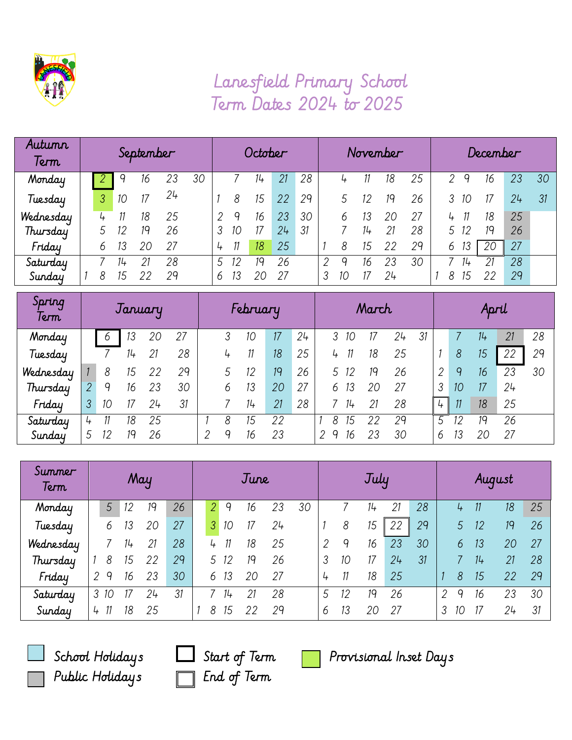

## Lanesfield Primary School Term Dates 2024 to 2025

| Autumn<br>Term | September |   |    |    |    | October |   |    |    |    |    | November |    |        |    |    | December |    |    |    |    |  |
|----------------|-----------|---|----|----|----|---------|---|----|----|----|----|----------|----|--------|----|----|----------|----|----|----|----|--|
| Monday         |           |   |    | 16 | 23 | 30      |   |    | 14 | 21 | 28 |          |    |        | 18 | 25 | 2        | 9  | 16 | 23 | 30 |  |
| Tuesday        |           | 3 | 10 | 17 | 24 |         |   | 8  | 15 | 22 | 29 |          |    |        | 19 | 26 |          | 10 |    | 24 | 31 |  |
| Wednesday      |           |   |    | 18 | 25 |         |   | q  | 16 | 23 | 30 |          | 6  |        | 20 | 27 | 4        |    | 18 | 25 |    |  |
| Thursday       |           |   |    | 19 | 26 |         |   | 10 |    | 24 | 31 |          |    | $11 +$ | 21 | 28 |          | 12 | 19 | 26 |    |  |
| Friday         |           | 6 |    | 20 | 27 |         | 4 |    | 18 | 25 |    |          | 8  | 15     | 22 | 29 | b        | 13 | 20 | 27 |    |  |
| Saturday       |           |   |    | 21 | 28 |         | 5 |    | 19 | 26 |    |          | Q  | 16     | 23 | 30 |          | 14 |    | 28 |    |  |
| Sunday         |           | 8 | 15 | 22 | 29 |         | 6 |    | 20 | 27 |    | 3        | 10 | 17     | 24 |    | 8        | 15 | 22 | 29 |    |  |

| Spring<br>Term | January        |    |    |    | February |   |   |    |    | March |   |    |    |    |    | April         |                 |    |    |    |
|----------------|----------------|----|----|----|----------|---|---|----|----|-------|---|----|----|----|----|---------------|-----------------|----|----|----|
| Monday         |                | 6  | 13 | 20 | 27       |   |   | 10 | 17 | 24    |   | 10 |    | 24 | 31 |               |                 | 14 | 21 | 28 |
| Tuesday        |                |    | 14 | 21 | 28       |   | 4 | 11 | 18 | 25    | 4 |    | 18 | 25 |    |               | 8               | 15 | 22 | 29 |
| Wednesday      |                | 8  | 15 |    | 29       |   |   | 12 | 19 | 26    |   | 12 | 19 | 26 |    | $\mathcal{D}$ | 9               | 16 | 23 | 30 |
| Thursday       | $\overline{2}$ | 9  | 16 | 23 | 30       |   | 6 | 13 | 20 | 27    | 6 | 13 | 20 | 27 |    | 3             | 10 <sup>°</sup> | 17 | 24 |    |
| Friday         | 3              | 10 |    | 24 | 31       |   |   | 14 | 21 | 28    |   | 14 | 21 | 28 |    | 4             | 11              | 18 | 25 |    |
| Saturday       | 4              |    | 18 | 25 |          |   | 8 | 15 | 22 |       | 8 | 15 | 22 | 29 |    | 5             | 12              | 19 | 26 |    |
| Sunday         | 5              | 12 | 19 | 26 |          | ↷ | q | 16 | 23 |       | Q | 16 | 23 | 30 |    | 6             | 13              | 20 | 27 |    |

| Summer<br>Term | May       |    |    |    | June |                |    |    |    |    | July         |    |       |     |    | August |    |    |    |    |
|----------------|-----------|----|----|----|------|----------------|----|----|----|----|--------------|----|-------|-----|----|--------|----|----|----|----|
| Monday         | 5         | 12 | 19 | 26 |      | $\overline{2}$ | 9  | 16 | 23 | 30 |              |    | $11+$ | 21  | 28 |        | 4  | 11 | 18 | 25 |
| Tuesday        | 6         | 13 | 20 | 27 |      | 3              | 10 | 17 | 24 |    |              | 8  | 15    | 22  | 29 |        | 5  | 12 | 19 | 26 |
| Wednesday      |           | 14 | 21 | 28 |      | 4              |    | 18 | 25 |    | 2            | 9  | 16    | 23  | 30 |        | 6  | 13 | 20 | 27 |
| Thursday       | 8         | 15 | 22 | 29 |      | 5              | 12 | 19 | 26 |    | 3            | 10 | 17    | 24  | 31 |        |    | 14 | 21 | 28 |
| Friday         | 9         | 16 | 23 | 30 |      | 6              | 13 | 20 | 27 |    | 4            | 11 | 18    | 25  |    |        | 8  | 15 | 22 | 29 |
| Saturday       | 3<br>- 10 |    | 24 | 31 |      |                | 14 | 21 | 28 |    | 5            | 12 | 19    | 26  |    | 2      | q  | 16 | 23 | 30 |
| Sunday         | 11<br>4   | 18 | 25 |    |      | 8              | 15 | 22 | 29 |    | <sub>6</sub> | 13 | 20    | -27 |    | 3      | 10 | 17 | 24 | 31 |



Public Holidays  $\Box$  End of Term



School Holidays  $\Box$  Start of Term  $\Box$  Provisional Inset Days